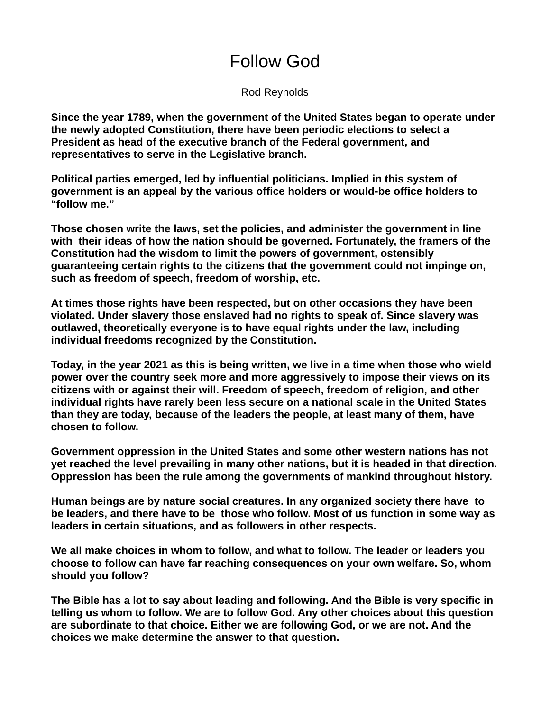Rod Reynolds

**Since the year 1789, when the government of the United States began to operate under the newly adopted Constitution, there have been periodic elections to select a President as head of the executive branch of the Federal government, and representatives to serve in the Legislative branch.**

**Political parties emerged, led by influential politicians. Implied in this system of government is an appeal by the various office holders or would-be office holders to "follow me."**

**Those chosen write the laws, set the policies, and administer the government in line with their ideas of how the nation should be governed. Fortunately, the framers of the Constitution had the wisdom to limit the powers of government, ostensibly guaranteeing certain rights to the citizens that the government could not impinge on, such as freedom of speech, freedom of worship, etc.**

**At times those rights have been respected, but on other occasions they have been violated. Under slavery those enslaved had no rights to speak of. Since slavery was outlawed, theoretically everyone is to have equal rights under the law, including individual freedoms recognized by the Constitution.**

**Today, in the year 2021 as this is being written, we live in a time when those who wield power over the country seek more and more aggressively to impose their views on its citizens with or against their will. Freedom of speech, freedom of religion, and other individual rights have rarely been less secure on a national scale in the United States than they are today, because of the leaders the people, at least many of them, have chosen to follow.**

**Government oppression in the United States and some other western nations has not yet reached the level prevailing in many other nations, but it is headed in that direction. Oppression has been the rule among the governments of mankind throughout history.** 

**Human beings are by nature social creatures. In any organized society there have to be leaders, and there have to be those who follow. Most of us function in some way as leaders in certain situations, and as followers in other respects.**

**We all make choices in whom to follow, and what to follow. The leader or leaders you choose to follow can have far reaching consequences on your own welfare. So, whom should you follow?**

**The Bible has a lot to say about leading and following. And the Bible is very specific in telling us whom to follow. We are to follow God. Any other choices about this question are subordinate to that choice. Either we are following God, or we are not. And the choices we make determine the answer to that question.**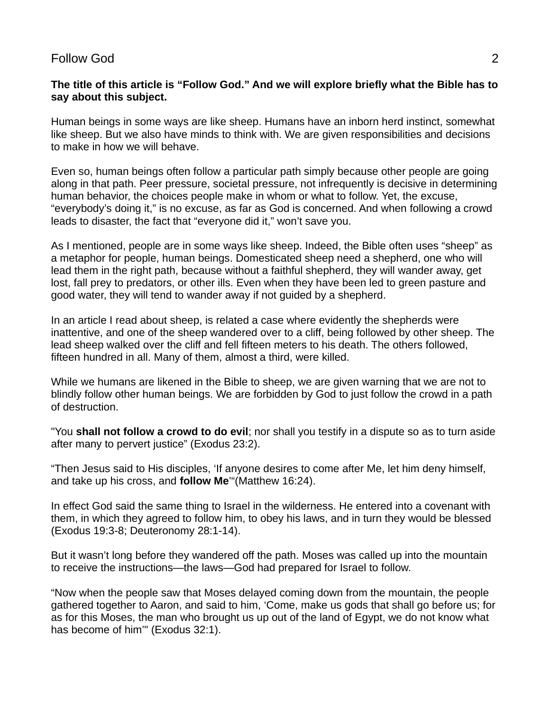### **The title of this article is "Follow God." And we will explore briefly what the Bible has to say about this subject.**

Human beings in some ways are like sheep. Humans have an inborn herd instinct, somewhat like sheep. But we also have minds to think with. We are given responsibilities and decisions to make in how we will behave.

Even so, human beings often follow a particular path simply because other people are going along in that path. Peer pressure, societal pressure, not infrequently is decisive in determining human behavior, the choices people make in whom or what to follow. Yet, the excuse, "everybody's doing it," is no excuse, as far as God is concerned. And when following a crowd leads to disaster, the fact that "everyone did it," won't save you.

As I mentioned, people are in some ways like sheep. Indeed, the Bible often uses "sheep" as a metaphor for people, human beings. Domesticated sheep need a shepherd, one who will lead them in the right path, because without a faithful shepherd, they will wander away, get lost, fall prey to predators, or other ills. Even when they have been led to green pasture and good water, they will tend to wander away if not guided by a shepherd.

In an article I read about sheep, is related a case where evidently the shepherds were inattentive, and one of the sheep wandered over to a cliff, being followed by other sheep. The lead sheep walked over the cliff and fell fifteen meters to his death. The others followed, fifteen hundred in all. Many of them, almost a third, were killed.

While we humans are likened in the Bible to sheep, we are given warning that we are not to blindly follow other human beings. We are forbidden by God to just follow the crowd in a path of destruction.

"You **shall not follow a crowd to do evil**; nor shall you testify in a dispute so as to turn aside after many to pervert justice" (Exodus 23:2).

"Then Jesus said to His disciples, 'If anyone desires to come after Me, let him deny himself, and take up his cross, and **follow Me**'"(Matthew 16:24).

In effect God said the same thing to Israel in the wilderness. He entered into a covenant with them, in which they agreed to follow him, to obey his laws, and in turn they would be blessed (Exodus 19:3-8; Deuteronomy 28:1-14).

But it wasn't long before they wandered off the path. Moses was called up into the mountain to receive the instructions—the laws—God had prepared for Israel to follow.

"Now when the people saw that Moses delayed coming down from the mountain, the people gathered together to Aaron, and said to him, 'Come, make us gods that shall go before us; for as for this Moses, the man who brought us up out of the land of Egypt, we do not know what has become of him'" (Exodus 32:1).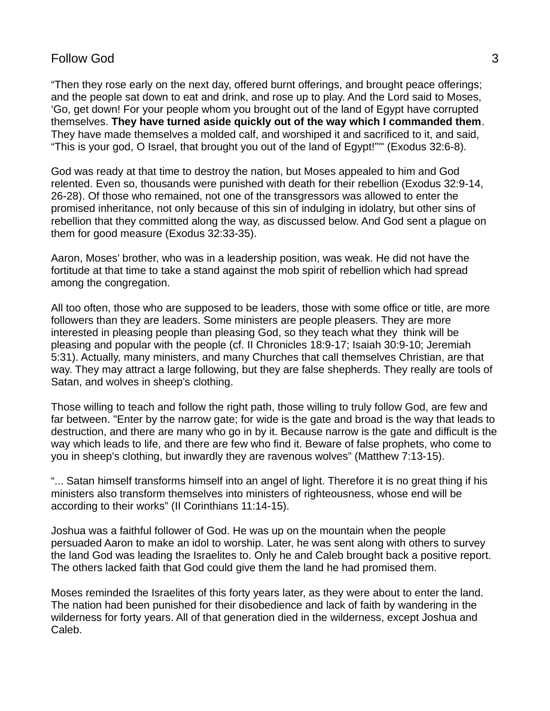"Then they rose early on the next day, offered burnt offerings, and brought peace offerings; and the people sat down to eat and drink, and rose up to play. And the Lord said to Moses, 'Go, get down! For your people whom you brought out of the land of Egypt have corrupted themselves. **They have turned aside quickly out of the way which I commanded them**. They have made themselves a molded calf, and worshiped it and sacrificed to it, and said, "This is your god, O Israel, that brought you out of the land of Egypt!"'" (Exodus 32:6-8).

God was ready at that time to destroy the nation, but Moses appealed to him and God relented. Even so, thousands were punished with death for their rebellion (Exodus 32:9-14, 26-28). Of those who remained, not one of the transgressors was allowed to enter the promised inheritance, not only because of this sin of indulging in idolatry, but other sins of rebellion that they committed along the way, as discussed below. And God sent a plague on them for good measure (Exodus 32:33-35).

Aaron, Moses' brother, who was in a leadership position, was weak. He did not have the fortitude at that time to take a stand against the mob spirit of rebellion which had spread among the congregation.

All too often, those who are supposed to be leaders, those with some office or title, are more followers than they are leaders. Some ministers are people pleasers. They are more interested in pleasing people than pleasing God, so they teach what they think will be pleasing and popular with the people (cf. II Chronicles 18:9-17; Isaiah 30:9-10; Jeremiah 5:31). Actually, many ministers, and many Churches that call themselves Christian, are that way. They may attract a large following, but they are false shepherds. They really are tools of Satan, and wolves in sheep's clothing.

Those willing to teach and follow the right path, those willing to truly follow God, are few and far between. "Enter by the narrow gate; for wide is the gate and broad is the way that leads to destruction, and there are many who go in by it. Because narrow is the gate and difficult is the way which leads to life, and there are few who find it. Beware of false prophets, who come to you in sheep's clothing, but inwardly they are ravenous wolves" (Matthew 7:13-15).

"... Satan himself transforms himself into an angel of light. Therefore it is no great thing if his ministers also transform themselves into ministers of righteousness, whose end will be according to their works" (II Corinthians 11:14-15).

Joshua was a faithful follower of God. He was up on the mountain when the people persuaded Aaron to make an idol to worship. Later, he was sent along with others to survey the land God was leading the Israelites to. Only he and Caleb brought back a positive report. The others lacked faith that God could give them the land he had promised them.

Moses reminded the Israelites of this forty years later, as they were about to enter the land. The nation had been punished for their disobedience and lack of faith by wandering in the wilderness for forty years. All of that generation died in the wilderness, except Joshua and Caleb.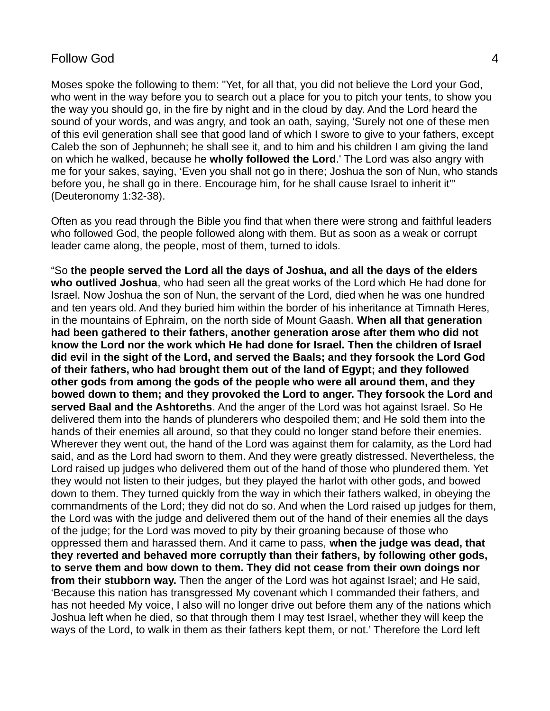Moses spoke the following to them: "Yet, for all that, you did not believe the Lord your God, who went in the way before you to search out a place for you to pitch your tents, to show you the way you should go, in the fire by night and in the cloud by day. And the Lord heard the sound of your words, and was angry, and took an oath, saying, 'Surely not one of these men of this evil generation shall see that good land of which I swore to give to your fathers, except Caleb the son of Jephunneh; he shall see it, and to him and his children I am giving the land on which he walked, because he **wholly followed the Lord**.' The Lord was also angry with me for your sakes, saying, 'Even you shall not go in there; Joshua the son of Nun, who stands before you, he shall go in there. Encourage him, for he shall cause Israel to inherit it'" (Deuteronomy 1:32-38).

Often as you read through the Bible you find that when there were strong and faithful leaders who followed God, the people followed along with them. But as soon as a weak or corrupt leader came along, the people, most of them, turned to idols.

"So **the people served the Lord all the days of Joshua, and all the days of the elders who outlived Joshua**, who had seen all the great works of the Lord which He had done for Israel. Now Joshua the son of Nun, the servant of the Lord, died when he was one hundred and ten years old. And they buried him within the border of his inheritance at Timnath Heres, in the mountains of Ephraim, on the north side of Mount Gaash. **When all that generation had been gathered to their fathers, another generation arose after them who did not know the Lord nor the work which He had done for Israel. Then the children of Israel did evil in the sight of the Lord, and served the Baals; and they forsook the Lord God of their fathers, who had brought them out of the land of Egypt; and they followed other gods from among the gods of the people who were all around them, and they bowed down to them; and they provoked the Lord to anger. They forsook the Lord and served Baal and the Ashtoreths**. And the anger of the Lord was hot against Israel. So He delivered them into the hands of plunderers who despoiled them; and He sold them into the hands of their enemies all around, so that they could no longer stand before their enemies. Wherever they went out, the hand of the Lord was against them for calamity, as the Lord had said, and as the Lord had sworn to them. And they were greatly distressed. Nevertheless, the Lord raised up judges who delivered them out of the hand of those who plundered them. Yet they would not listen to their judges, but they played the harlot with other gods, and bowed down to them. They turned quickly from the way in which their fathers walked, in obeying the commandments of the Lord; they did not do so. And when the Lord raised up judges for them, the Lord was with the judge and delivered them out of the hand of their enemies all the days of the judge; for the Lord was moved to pity by their groaning because of those who oppressed them and harassed them. And it came to pass, **when the judge was dead, that they reverted and behaved more corruptly than their fathers, by following other gods, to serve them and bow down to them. They did not cease from their own doings nor from their stubborn way.** Then the anger of the Lord was hot against Israel; and He said, 'Because this nation has transgressed My covenant which I commanded their fathers, and has not heeded My voice, I also will no longer drive out before them any of the nations which Joshua left when he died, so that through them I may test Israel, whether they will keep the ways of the Lord, to walk in them as their fathers kept them, or not.' Therefore the Lord left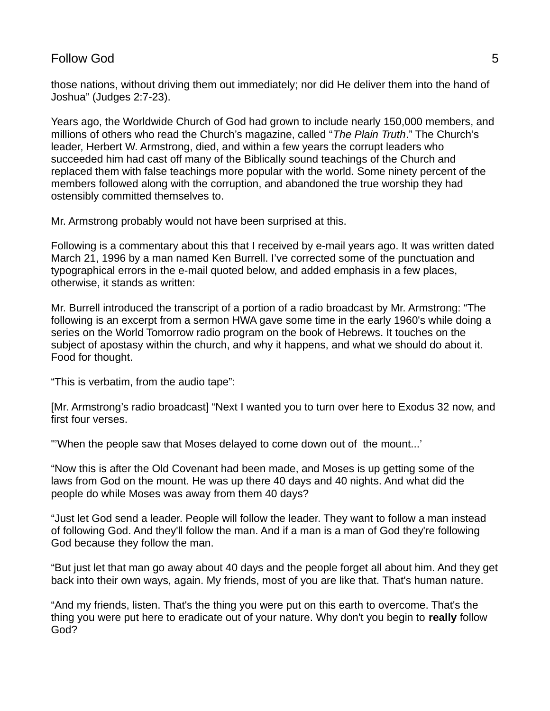those nations, without driving them out immediately; nor did He deliver them into the hand of Joshua" (Judges 2:7-23).

Years ago, the Worldwide Church of God had grown to include nearly 150,000 members, and millions of others who read the Church's magazine, called "*The Plain Truth*." The Church's leader, Herbert W. Armstrong, died, and within a few years the corrupt leaders who succeeded him had cast off many of the Biblically sound teachings of the Church and replaced them with false teachings more popular with the world. Some ninety percent of the members followed along with the corruption, and abandoned the true worship they had ostensibly committed themselves to.

Mr. Armstrong probably would not have been surprised at this.

Following is a commentary about this that I received by e-mail years ago. It was written dated March 21, 1996 by a man named Ken Burrell. I've corrected some of the punctuation and typographical errors in the e-mail quoted below, and added emphasis in a few places, otherwise, it stands as written:

Mr. Burrell introduced the transcript of a portion of a radio broadcast by Mr. Armstrong: "The following is an excerpt from a sermon HWA gave some time in the early 1960's while doing a series on the World Tomorrow radio program on the book of Hebrews. It touches on the subject of apostasy within the church, and why it happens, and what we should do about it. Food for thought.

"This is verbatim, from the audio tape":

[Mr. Armstrong's radio broadcast] "Next I wanted you to turn over here to Exodus 32 now, and first four verses.

"'When the people saw that Moses delayed to come down out of the mount...'

"Now this is after the Old Covenant had been made, and Moses is up getting some of the laws from God on the mount. He was up there 40 days and 40 nights. And what did the people do while Moses was away from them 40 days?

"Just let God send a leader. People will follow the leader. They want to follow a man instead of following God. And they'll follow the man. And if a man is a man of God they're following God because they follow the man.

"But just let that man go away about 40 days and the people forget all about him. And they get back into their own ways, again. My friends, most of you are like that. That's human nature.

"And my friends, listen. That's the thing you were put on this earth to overcome. That's the thing you were put here to eradicate out of your nature. Why don't you begin to **really** follow God?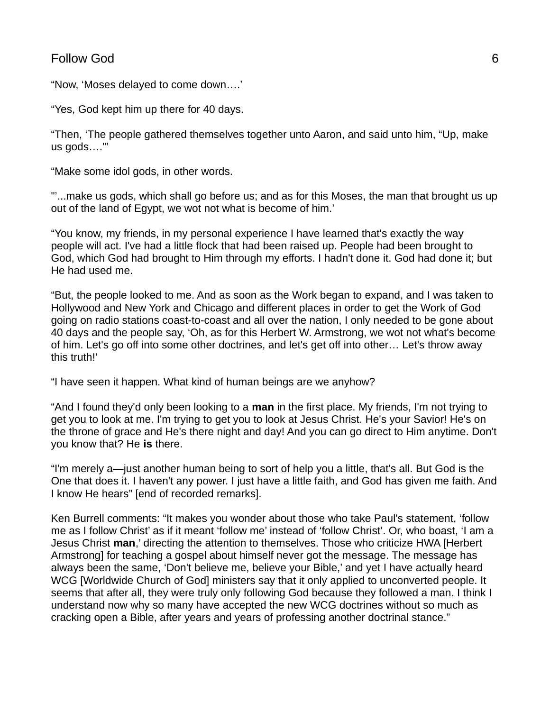"Now, 'Moses delayed to come down….'

"Yes, God kept him up there for 40 days.

"Then, 'The people gathered themselves together unto Aaron, and said unto him, "Up, make us gods…."'

"Make some idol gods, in other words.

"'...make us gods, which shall go before us; and as for this Moses, the man that brought us up out of the land of Egypt, we wot not what is become of him.'

"You know, my friends, in my personal experience I have learned that's exactly the way people will act. I've had a little flock that had been raised up. People had been brought to God, which God had brought to Him through my efforts. I hadn't done it. God had done it; but He had used me.

"But, the people looked to me. And as soon as the Work began to expand, and I was taken to Hollywood and New York and Chicago and different places in order to get the Work of God going on radio stations coast-to-coast and all over the nation, I only needed to be gone about 40 days and the people say, 'Oh, as for this Herbert W. Armstrong, we wot not what's become of him. Let's go off into some other doctrines, and let's get off into other… Let's throw away this truth!'

"I have seen it happen. What kind of human beings are we anyhow?

"And I found they'd only been looking to a **man** in the first place. My friends, I'm not trying to get you to look at me. I'm trying to get you to look at Jesus Christ. He's your Savior! He's on the throne of grace and He's there night and day! And you can go direct to Him anytime. Don't you know that? He **is** there.

"I'm merely a—just another human being to sort of help you a little, that's all. But God is the One that does it. I haven't any power. I just have a little faith, and God has given me faith. And I know He hears" [end of recorded remarks].

Ken Burrell comments: "It makes you wonder about those who take Paul's statement, 'follow me as I follow Christ' as if it meant 'follow me' instead of 'follow Christ'. Or, who boast, 'I am a Jesus Christ **man**,' directing the attention to themselves. Those who criticize HWA [Herbert Armstrong] for teaching a gospel about himself never got the message. The message has always been the same, 'Don't believe me, believe your Bible,' and yet I have actually heard WCG [Worldwide Church of God] ministers say that it only applied to unconverted people. It seems that after all, they were truly only following God because they followed a man. I think I understand now why so many have accepted the new WCG doctrines without so much as cracking open a Bible, after years and years of professing another doctrinal stance."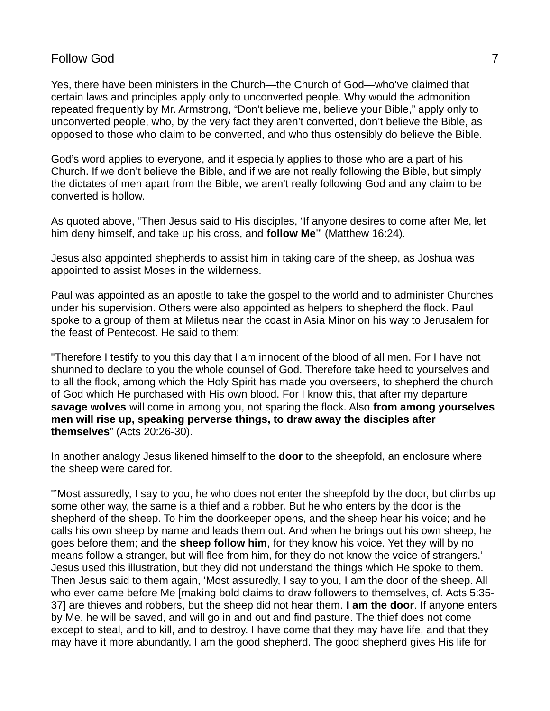Yes, there have been ministers in the Church—the Church of God—who've claimed that certain laws and principles apply only to unconverted people. Why would the admonition repeated frequently by Mr. Armstrong, "Don't believe me, believe your Bible," apply only to unconverted people, who, by the very fact they aren't converted, don't believe the Bible, as opposed to those who claim to be converted, and who thus ostensibly do believe the Bible.

God's word applies to everyone, and it especially applies to those who are a part of his Church. If we don't believe the Bible, and if we are not really following the Bible, but simply the dictates of men apart from the Bible, we aren't really following God and any claim to be converted is hollow.

As quoted above, "Then Jesus said to His disciples, 'If anyone desires to come after Me, let him deny himself, and take up his cross, and **follow Me**'" (Matthew 16:24).

Jesus also appointed shepherds to assist him in taking care of the sheep, as Joshua was appointed to assist Moses in the wilderness.

Paul was appointed as an apostle to take the gospel to the world and to administer Churches under his supervision. Others were also appointed as helpers to shepherd the flock. Paul spoke to a group of them at Miletus near the coast in Asia Minor on his way to Jerusalem for the feast of Pentecost. He said to them:

"Therefore I testify to you this day that I am innocent of the blood of all men. For I have not shunned to declare to you the whole counsel of God. Therefore take heed to yourselves and to all the flock, among which the Holy Spirit has made you overseers, to shepherd the church of God which He purchased with His own blood. For I know this, that after my departure **savage wolves** will come in among you, not sparing the flock. Also **from among yourselves men will rise up, speaking perverse things, to draw away the disciples after themselves**" (Acts 20:26-30).

In another analogy Jesus likened himself to the **door** to the sheepfold, an enclosure where the sheep were cared for.

"'Most assuredly, I say to you, he who does not enter the sheepfold by the door, but climbs up some other way, the same is a thief and a robber. But he who enters by the door is the shepherd of the sheep. To him the doorkeeper opens, and the sheep hear his voice; and he calls his own sheep by name and leads them out. And when he brings out his own sheep, he goes before them; and the **sheep follow him**, for they know his voice. Yet they will by no means follow a stranger, but will flee from him, for they do not know the voice of strangers.' Jesus used this illustration, but they did not understand the things which He spoke to them. Then Jesus said to them again, 'Most assuredly, I say to you, I am the door of the sheep. All who ever came before Me [making bold claims to draw followers to themselves, cf. Acts 5:35- 37] are thieves and robbers, but the sheep did not hear them. **I am the door**. If anyone enters by Me, he will be saved, and will go in and out and find pasture. The thief does not come except to steal, and to kill, and to destroy. I have come that they may have life, and that they may have it more abundantly. I am the good shepherd. The good shepherd gives His life for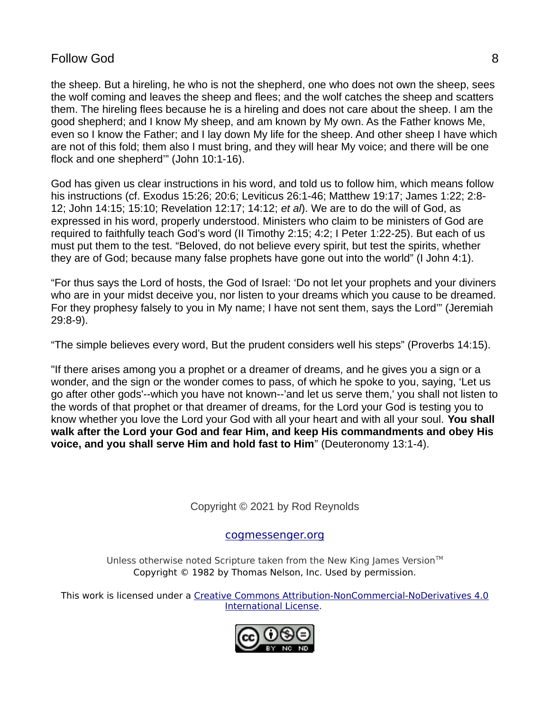the sheep. But a hireling, he who is not the shepherd, one who does not own the sheep, sees the wolf coming and leaves the sheep and flees; and the wolf catches the sheep and scatters them. The hireling flees because he is a hireling and does not care about the sheep. I am the good shepherd; and I know My sheep, and am known by My own. As the Father knows Me, even so I know the Father; and I lay down My life for the sheep. And other sheep I have which are not of this fold; them also I must bring, and they will hear My voice; and there will be one flock and one shepherd'" (John 10:1-16).

God has given us clear instructions in his word, and told us to follow him, which means follow his instructions (cf. Exodus 15:26; 20:6; Leviticus 26:1-46; Matthew 19:17; James 1:22; 2:8- 12; John 14:15; 15:10; Revelation 12:17; 14:12; *et al*). We are to do the will of God, as expressed in his word, properly understood. Ministers who claim to be ministers of God are required to faithfully teach God's word (II Timothy 2:15; 4:2; I Peter 1:22-25). But each of us must put them to the test. "Beloved, do not believe every spirit, but test the spirits, whether they are of God; because many false prophets have gone out into the world" (I John 4:1).

"For thus says the Lord of hosts, the God of Israel: 'Do not let your prophets and your diviners who are in your midst deceive you, nor listen to your dreams which you cause to be dreamed. For they prophesy falsely to you in My name; I have not sent them, says the Lord'" (Jeremiah 29:8-9).

"The simple believes every word, But the prudent considers well his steps" (Proverbs 14:15).

"If there arises among you a prophet or a dreamer of dreams, and he gives you a sign or a wonder, and the sign or the wonder comes to pass, of which he spoke to you, saying, 'Let us go after other gods'--which you have not known--'and let us serve them,' you shall not listen to the words of that prophet or that dreamer of dreams, for the Lord your God is testing you to know whether you love the Lord your God with all your heart and with all your soul. **You shall walk after the Lord your God and fear Him, and keep His commandments and obey His voice, and you shall serve Him and hold fast to Him**" (Deuteronomy 13:1-4).

Copyright © 2021 by Rod Reynolds

## [cogmessenger.org](http://cogmessenger.org/)

Unless otherwise noted Scripture taken from the New King James Version<sup>™</sup> Copyright © 1982 by Thomas Nelson, Inc. Used by permission.

This work is licensed under a [Creative Commons Attribution-NonCommercial-NoDerivatives 4.0](http://creativecommons.org/licenses/by-nc-nd/4.0/) [International License](http://creativecommons.org/licenses/by-nc-nd/4.0/).